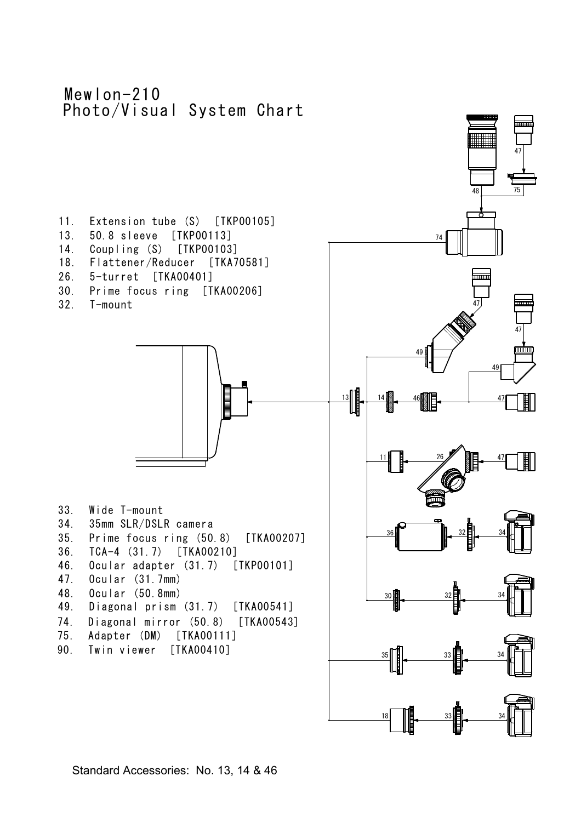